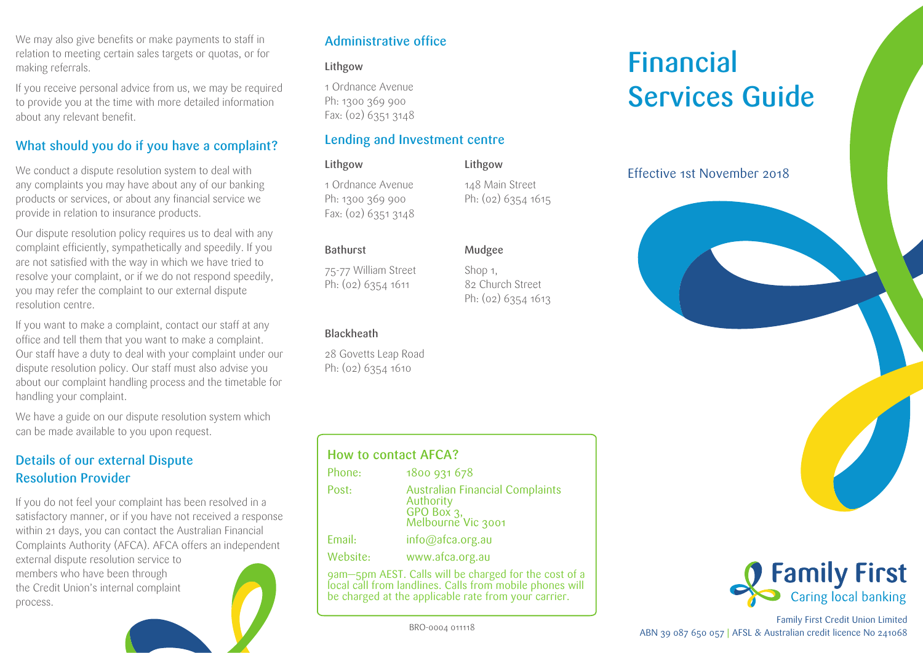We may also give benefits or make payments to staff in relation to meeting certain sales targets or quotas, or for making referrals.

If you receive personal advice from us, we may be required to provide you at the time with more detailed information about any relevant benefit.

# What should you do if you have a complaint?

We conduct a dispute resolution system to deal with any complaints you may have about any of our banking products or services, or about any financial service we provide in relation to insurance products.

Our dispute resolution policy requires us to deal with any complaint efficiently, sympathetically and speedily. If you are not satisfied with the way in which we have tried to resolve your complaint, or if we do not respond speedily, you may refer the complaint to our external dispute resolution centre.

If you want to make a complaint, contact our staff at any office and tell them that you want to make a complaint. Our staff have a duty to deal with your complaint under our dispute resolution policy. Our staff must also advise you about our complaint handling process and the timetable for handling your complaint.

We have a guide on our dispute resolution system which can be made available to you upon request.

# Details of our external Dispute Resolution Provider

If you do not feel your complaint has been resolved in a satisfactory manner, or if you have not received a response within 21 days, you can contact the Australian Financial Complaints Authority (AFCA). AFCA offers an independent external dispute resolution service to

members who have been through the Credit Union's internal complaint process.



# Administrative office

### Lithgow

1 Ordnance Avenue Ph: 1300 369 900 Fax: (02) 6351 3148

# Lending and Investment centre

Lithgow 1 Ordnance Avenue Ph: 1300 369 900 Fax: (02) 6351 3148

148 Main Street Ph: (02) 6354 1615

> 82 Church Street Ph: (02) 6354 1613

Lithgow

Mudgee Shop 1,

75-77 William Street Ph: (02) 6354 1611

### Blackheath

Bathurst

28 Govetts Leap Road Ph: (02) 6354 1610

| <b>How to contact AFCA?</b> |          |                                                                                         |
|-----------------------------|----------|-----------------------------------------------------------------------------------------|
|                             | Phone:   | 1800 931 678                                                                            |
|                             | Post:    | <b>Australian Financial Complaints</b><br>Authority<br>GPO Box 3,<br>Melbourne Vic 3001 |
|                             | Email:   | info@afca.org.au                                                                        |
|                             | Website: | www.afca.org.au                                                                         |
|                             |          | agon som AFCT Callery ill ha sheegaad footba soot at                                    |

9am—5pm AEST. Calls will be charged for the cost of a local call from landlines. Calls from mobile phones will be charged at the applicable rate from your carrier.

# Effective 1st November 2018

Financial

Services Guide





Family First Credit Union Limited ABN 39 087 650 057 | AFSL & Australian credit licence No 241068

BRO-0004 011118